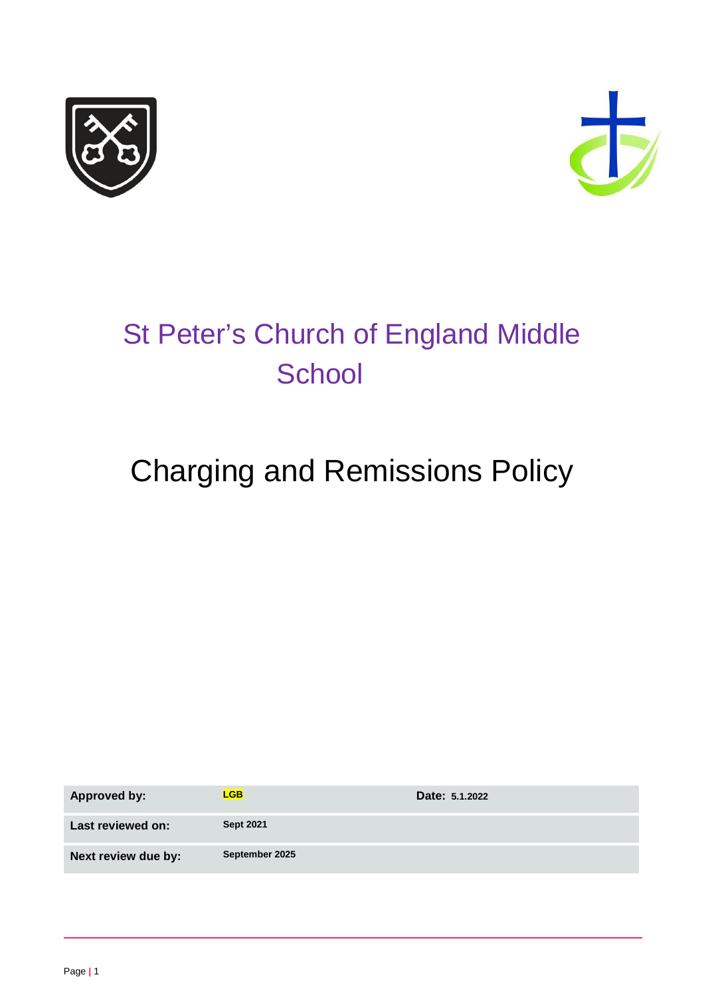



# St Peter's Church of England Middle **School**

# Charging and Remissions Policy

| Approved by:        | <b>LGB</b>       | Date: 5.1.2022 |
|---------------------|------------------|----------------|
| Last reviewed on:   | <b>Sept 2021</b> |                |
| Next review due by: | September 2025   |                |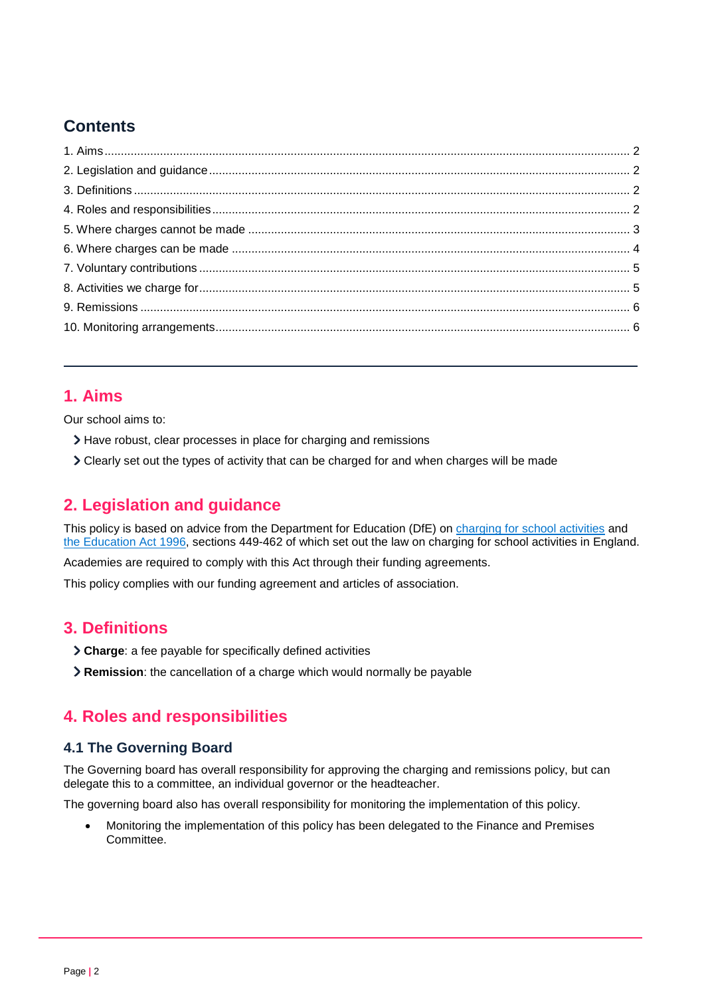# **Contents**

## <span id="page-1-0"></span>**1. Aims**

Our school aims to:

- > Have robust, clear processes in place for charging and remissions
- Clearly set out the types of activity that can be charged for and when charges will be made

# <span id="page-1-1"></span>**2. Legislation and guidance**

This policy is based on advice from the Department for Education (DfE) on [charging for school activities](https://www.gov.uk/government/publications/charging-for-school-activities) and [the Education Act 1996,](http://www.legislation.gov.uk/ukpga/1996/56/part/VI/chapter/III) sections 449-462 of which set out the law on charging for school activities in England.

Academies are required to comply with this Act through their funding agreements.

This policy complies with our funding agreement and articles of association.

## <span id="page-1-2"></span>**3. Definitions**

- **Charge**: a fee payable for specifically defined activities
- **Remission**: the cancellation of a charge which would normally be payable

# <span id="page-1-3"></span>**4. Roles and responsibilities**

#### **4.1 The Governing Board**

The Governing board has overall responsibility for approving the charging and remissions policy, but can delegate this to a committee, an individual governor or the headteacher.

The governing board also has overall responsibility for monitoring the implementation of this policy.

• Monitoring the implementation of this policy has been delegated to the Finance and Premises Committee.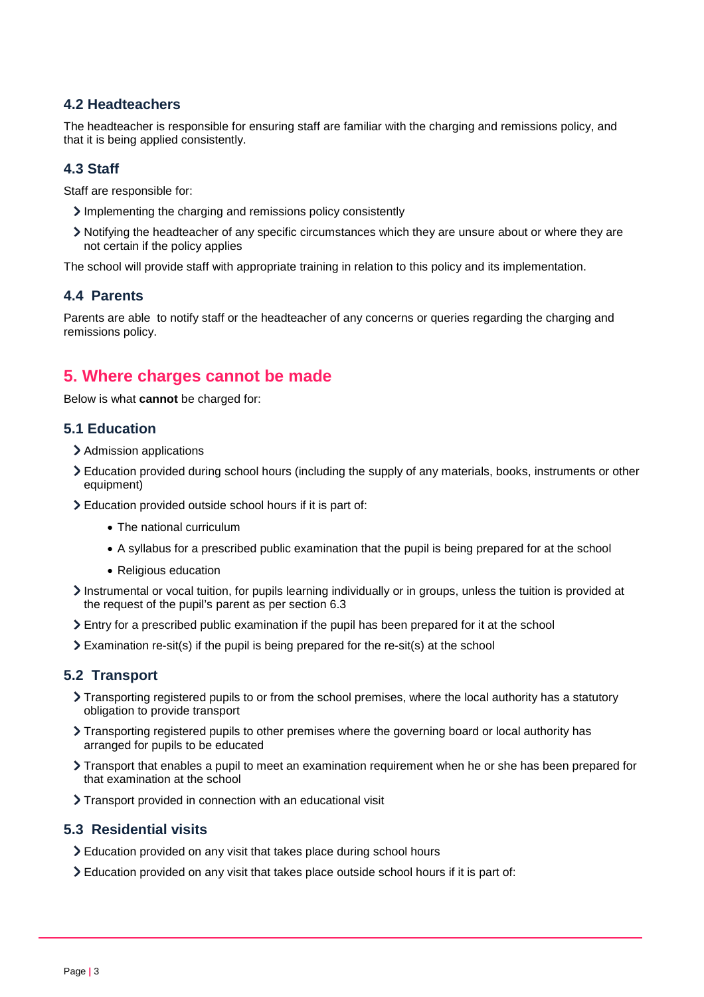#### **4.2 Headteachers**

The headteacher is responsible for ensuring staff are familiar with the charging and remissions policy, and that it is being applied consistently.

#### **4.3 Staff**

Staff are responsible for:

- $\sum$  Implementing the charging and remissions policy consistently
- Notifying the headteacher of any specific circumstances which they are unsure about or where they are not certain if the policy applies

The school will provide staff with appropriate training in relation to this policy and its implementation.

#### **4.4 Parents**

Parents are able to notify staff or the headteacher of any concerns or queries regarding the charging and remissions policy.

### <span id="page-2-0"></span>**5. Where charges cannot be made**

Below is what **cannot** be charged for:

#### **5.1 Education**

- > Admission applications
- Education provided during school hours (including the supply of any materials, books, instruments or other equipment)
- Education provided outside school hours if it is part of:
	- The national curriculum
	- A syllabus for a prescribed public examination that the pupil is being prepared for at the school
	- Religious education
- Instrumental or vocal tuition, for pupils learning individually or in groups, unless the tuition is provided at the request of the pupil's parent as per section 6.3
- Entry for a prescribed public examination if the pupil has been prepared for it at the school
- $\geq$  Examination re-sit(s) if the pupil is being prepared for the re-sit(s) at the school

#### **5.2 Transport**

- Transporting registered pupils to or from the school premises, where the local authority has a statutory obligation to provide transport
- Transporting registered pupils to other premises where the governing board or local authority has arranged for pupils to be educated
- Transport that enables a pupil to meet an examination requirement when he or she has been prepared for that examination at the school
- Transport provided in connection with an educational visit

#### **5.3 Residential visits**

- Education provided on any visit that takes place during school hours
- Education provided on any visit that takes place outside school hours if it is part of: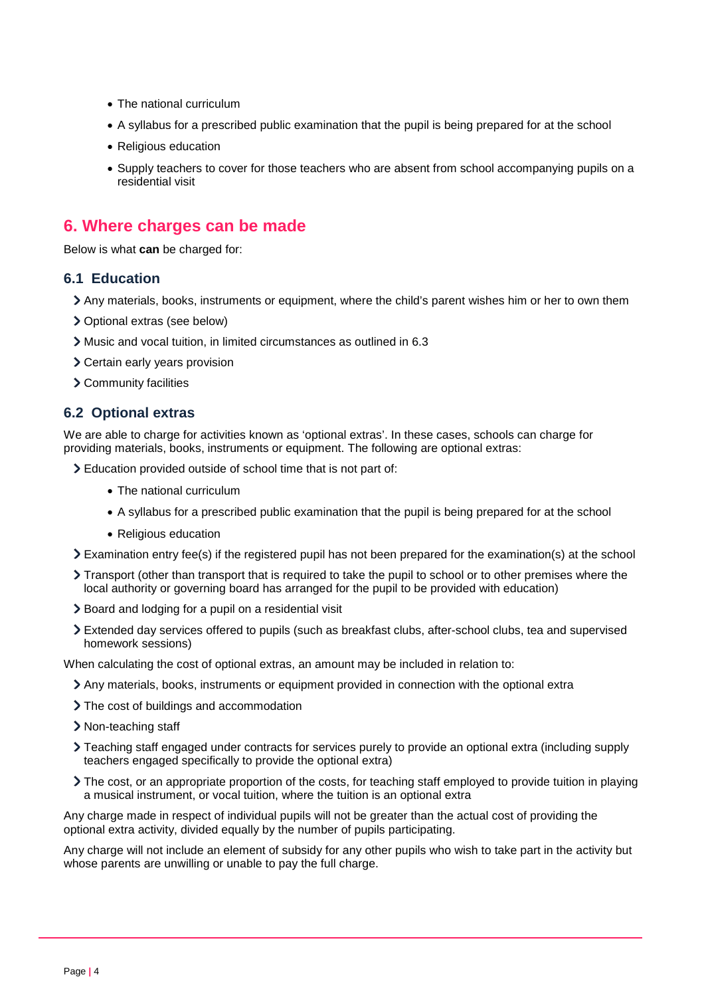- The national curriculum
- A syllabus for a prescribed public examination that the pupil is being prepared for at the school
- Religious education
- Supply teachers to cover for those teachers who are absent from school accompanying pupils on a residential visit

## <span id="page-3-0"></span>**6. Where charges can be made**

Below is what **can** be charged for:

#### **6.1 Education**

- Any materials, books, instruments or equipment, where the child's parent wishes him or her to own them
- > Optional extras (see below)
- Music and vocal tuition, in limited circumstances as outlined in 6.3
- > Certain early years provision
- > Community facilities

#### **6.2 Optional extras**

We are able to charge for activities known as 'optional extras'. In these cases, schools can charge for providing materials, books, instruments or equipment. The following are optional extras:

Education provided outside of school time that is not part of:

- The national curriculum
- A syllabus for a prescribed public examination that the pupil is being prepared for at the school
- Religious education
- Examination entry fee(s) if the registered pupil has not been prepared for the examination(s) at the school
- Transport (other than transport that is required to take the pupil to school or to other premises where the local authority or governing board has arranged for the pupil to be provided with education)
- > Board and lodging for a pupil on a residential visit
- Extended day services offered to pupils (such as breakfast clubs, after-school clubs, tea and supervised homework sessions)

When calculating the cost of optional extras, an amount may be included in relation to:

- Any materials, books, instruments or equipment provided in connection with the optional extra
- > The cost of buildings and accommodation
- > Non-teaching staff
- Teaching staff engaged under contracts for services purely to provide an optional extra (including supply teachers engaged specifically to provide the optional extra)
- The cost, or an appropriate proportion of the costs, for teaching staff employed to provide tuition in playing a musical instrument, or vocal tuition, where the tuition is an optional extra

Any charge made in respect of individual pupils will not be greater than the actual cost of providing the optional extra activity, divided equally by the number of pupils participating.

Any charge will not include an element of subsidy for any other pupils who wish to take part in the activity but whose parents are unwilling or unable to pay the full charge.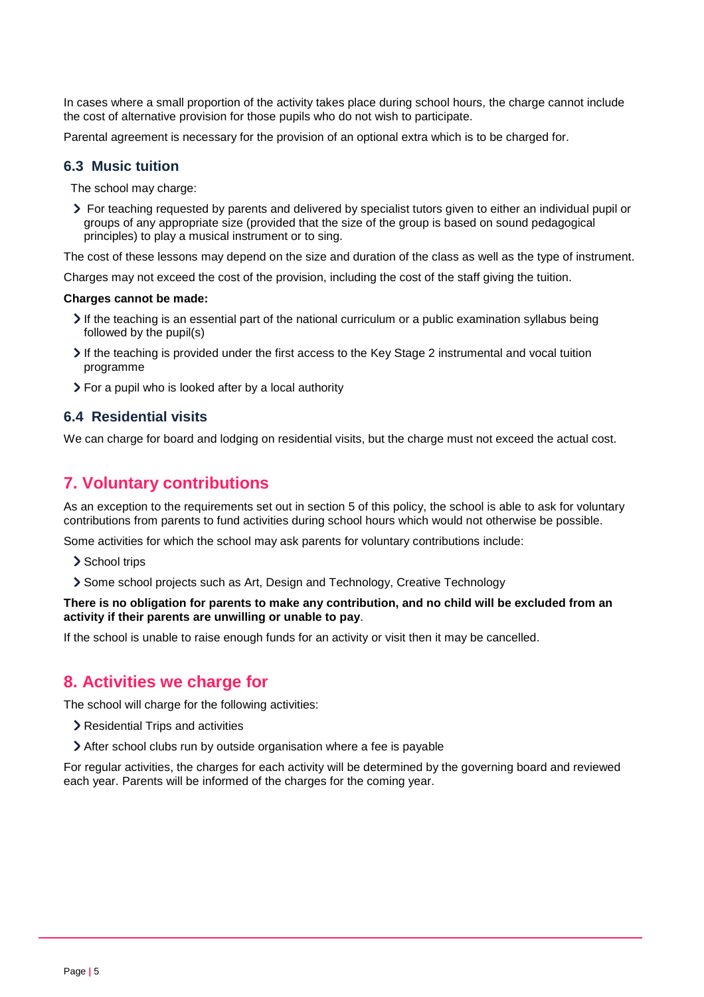In cases where a small proportion of the activity takes place during school hours, the charge cannot include the cost of alternative provision for those pupils who do not wish to participate.

Parental agreement is necessary for the provision of an optional extra which is to be charged for.

#### **6.3 Music tuition**

The school may charge:

For teaching requested by parents and delivered by specialist tutors given to either an individual pupil or groups of any appropriate size (provided that the size of the group is based on sound pedagogical principles) to play a musical instrument or to sing.

The cost of these lessons may depend on the size and duration of the class as well as the type of instrument.

Charges may not exceed the cost of the provision, including the cost of the staff giving the tuition.

#### **Charges cannot be made:**

- $\geq$  If the teaching is an essential part of the national curriculum or a public examination syllabus being followed by the pupil(s)
- If the teaching is provided under the first access to the Key Stage 2 instrumental and vocal tuition programme
- For a pupil who is looked after by a local authority

#### **6.4 Residential visits**

We can charge for board and lodging on residential visits, but the charge must not exceed the actual cost.

### <span id="page-4-0"></span>**7. Voluntary contributions**

As an exception to the requirements set out in section 5 of this policy, the school is able to ask for voluntary contributions from parents to fund activities during school hours which would not otherwise be possible.

Some activities for which the school may ask parents for voluntary contributions include:

- > School trips
- Some school projects such as Art, Design and Technology, Creative Technology

#### **There is no obligation for parents to make any contribution, and no child will be excluded from an activity if their parents are unwilling or unable to pay**.

If the school is unable to raise enough funds for an activity or visit then it may be cancelled.

#### <span id="page-4-1"></span>**8. Activities we charge for**

The school will charge for the following activities:

- Residential Trips and activities
- After school clubs run by outside organisation where a fee is payable

For regular activities, the charges for each activity will be determined by the governing board and reviewed each year. Parents will be informed of the charges for the coming year.